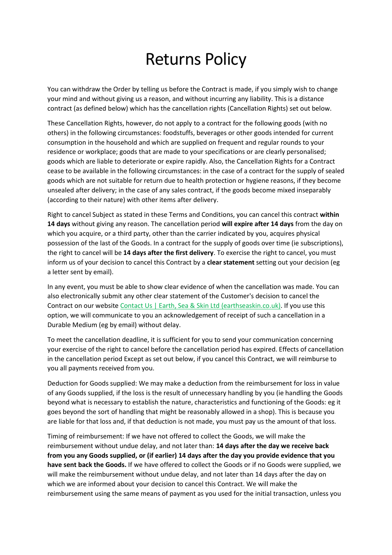## Returns Policy

You can withdraw the Order by telling us before the Contract is made, if you simply wish to change your mind and without giving us a reason, and without incurring any liability. This is a distance contract (as defined below) which has the cancellation rights (Cancellation Rights) set out below.

These Cancellation Rights, however, do not apply to a contract for the following goods (with no others) in the following circumstances: foodstuffs, beverages or other goods intended for current consumption in the household and which are supplied on frequent and regular rounds to your residence or workplace; goods that are made to your specifications or are clearly personalised; goods which are liable to deteriorate or expire rapidly. Also, the Cancellation Rights for a Contract cease to be available in the following circumstances: in the case of a contract for the supply of sealed goods which are not suitable for return due to health protection or hygiene reasons, if they become unsealed after delivery; in the case of any sales contract, if the goods become mixed inseparably (according to their nature) with other items after delivery.

Right to cancel Subject as stated in these Terms and Conditions, you can cancel this contract **within 14 days** without giving any reason. The cancellation period **will expire after 14 days** from the day on which you acquire, or a third party, other than the carrier indicated by you, acquires physical possession of the last of the Goods. In a contract for the supply of goods over time (ie subscriptions), the right to cancel will be **14 days after the first delivery**. To exercise the right to cancel, you must inform us of your decision to cancel this Contract by a **clear statement** setting out your decision (eg a letter sent by email).

In any event, you must be able to show clear evidence of when the cancellation was made. You can also electronically submit any other clear statement of the Customer's decision to cancel the Contract on our website [Contact Us | Earth, Sea & Skin Ltd \(earthseaskin.co.uk\).](https://www.earthseaskin.co.uk/contact-us) If you use this option, we will communicate to you an acknowledgement of receipt of such a cancellation in a Durable Medium (eg by email) without delay.

To meet the cancellation deadline, it is sufficient for you to send your communication concerning your exercise of the right to cancel before the cancellation period has expired. Effects of cancellation in the cancellation period Except as set out below, if you cancel this Contract, we will reimburse to you all payments received from you.

Deduction for Goods supplied: We may make a deduction from the reimbursement for loss in value of any Goods supplied, if the loss is the result of unnecessary handling by you (ie handling the Goods beyond what is necessary to establish the nature, characteristics and functioning of the Goods: eg it goes beyond the sort of handling that might be reasonably allowed in a shop). This is because you are liable for that loss and, if that deduction is not made, you must pay us the amount of that loss.

Timing of reimbursement: If we have not offered to collect the Goods, we will make the reimbursement without undue delay, and not later than: **14 days after the day we receive back from you any Goods supplied, or (if earlier) 14 days after the day you provide evidence that you have sent back the Goods.** If we have offered to collect the Goods or if no Goods were supplied, we will make the reimbursement without undue delay, and not later than 14 days after the day on which we are informed about your decision to cancel this Contract. We will make the reimbursement using the same means of payment as you used for the initial transaction, unless you